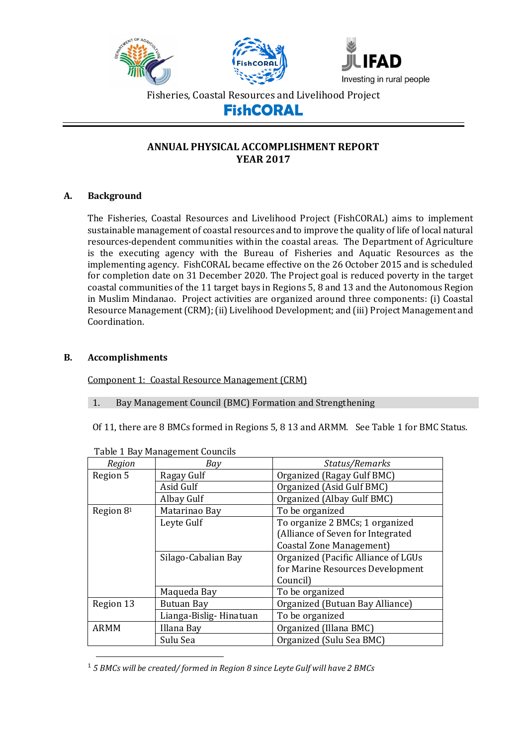





Fisheries, Coastal Resources and Livelihood Project

# **FishCORAL**

# **ANNUAL PHYSICAL ACCOMPLISHMENT REPORT YEAR 2017**

## **A. Background**

The Fisheries, Coastal Resources and Livelihood Project (FishCORAL) aims to implement sustainable management of coastal resources and to improve the quality of life of local natural resources-dependent communities within the coastal areas. The Department of Agriculture is the executing agency with the Bureau of Fisheries and Aquatic Resources as the implementing agency. FishCORAL became effective on the 26 October 2015 and is scheduled for completion date on 31 December 2020. The Project goal is reduced poverty in the target coastal communities of the 11 target bays in Regions 5, 8 and 13 and the Autonomous Region in Muslim Mindanao. Project activities are organized around three components: (i) Coastal Resource Management (CRM); (ii) Livelihood Development; and (iii) Project Management and Coordination.

## **B. Accomplishments**

 $\overline{a}$ 

Component 1: Coastal Resource Management (CRM)

## 1. Bay Management Council (BMC) Formation and Strengthening

Of 11, there are 8 BMCs formed in Regions 5, 8 13 and ARMM. See Table 1 for BMC Status.

| Region      | rabie 1 Bay Pianagement douncilo<br>Bay | Status/Remarks                      |
|-------------|-----------------------------------------|-------------------------------------|
| Region 5    | Ragay Gulf                              | Organized (Ragay Gulf BMC)          |
|             | Asid Gulf                               | Organized (Asid Gulf BMC)           |
|             | Albay Gulf                              | Organized (Albay Gulf BMC)          |
| Region 81   | Matarinao Bay                           | To be organized                     |
|             | Leyte Gulf                              | To organize 2 BMCs; 1 organized     |
|             |                                         | (Alliance of Seven for Integrated   |
|             |                                         | Coastal Zone Management)            |
|             | Silago-Cabalian Bay                     | Organized (Pacific Alliance of LGUs |
|             |                                         | for Marine Resources Development    |
|             |                                         | Council)                            |
|             | Maqueda Bay                             | To be organized                     |
| Region 13   | Butuan Bay                              | Organized (Butuan Bay Alliance)     |
|             | Lianga-Bislig-Hinatuan                  | To be organized                     |
| <b>ARMM</b> | Illana Bay                              | Organized (Illana BMC)              |
|             | Sulu Sea                                | Organized (Sulu Sea BMC)            |

Table 1 Bay Management Councils

<sup>1</sup> *5 BMCs will be created/ formed in Region 8 since Leyte Gulf will have 2 BMCs*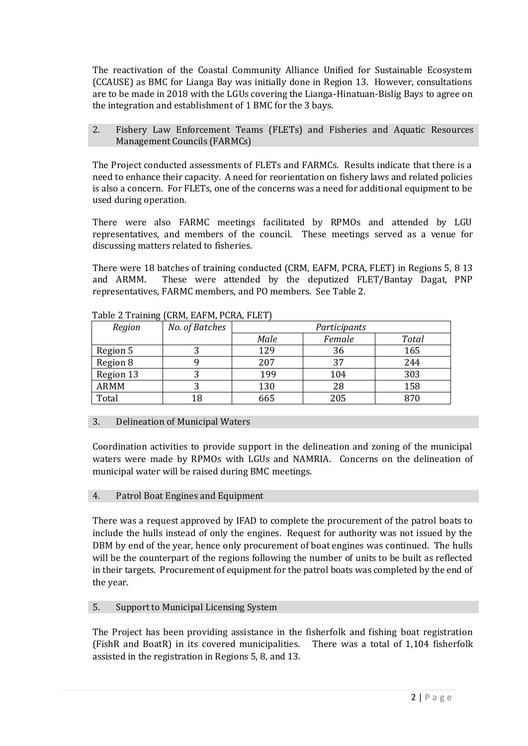The reactivation of the Coastal Community Alliance Unified for Sustainable Ecosystem (CCAUSE) as BMC for Lianga Bay was initially done in Region 13. However, consultations are to be made in 2018 with the LGUs covering the Lianga-Hinatuan-Bislig Bays to agree on the integration and establishment of 1 BMC for the 3 bays.

2. Fishery Law Enforcement Teams (FLETs) and Fisheries and Aquatic Resources Management Councils (FARMCs)

The Project conducted assessments of FLETs and FARMCs. Results indicate that there is a need to enhance their capacity. A need for reorientation on fishery laws and related policies is also a concern. For FLETs, one of the concerns was a need for additional equipment to be used during operation.

There were also FARMC meetings facilitated by RPMOs and attended by LGU representatives, and members of the council. These meetings served as a venue for discussing matters related to fisheries.

There were 18 batches of training conducted (CRM, EAFM, PCRA, FLET) in Regions 5, 8 13 and ARMM. These were attended by the deputized FLET/Bantay Dagat, PNP representatives, FARMC members, and PO members. See Table 2.

| Region      | No. of Batches | Participants |        |              |
|-------------|----------------|--------------|--------|--------------|
|             |                | Male         | Female | <b>Total</b> |
| Region 5    |                | 129          | 36     | 165          |
| Region 8    |                | 207          | 37     | 244          |
| Region 13   |                | 199          | 104    | 303          |
| <b>ARMM</b> |                | 130          | 28     | 158          |
| Total       | 18             | 665          | 205    | 870          |

Table 2 Training (CRM, EAFM, PCRA, FLET)

# 3. Delineation of Municipal Waters

Coordination activities to provide support in the delineation and zoning of the municipal waters were made by RPMOs with LGUs and NAMRIA. Concerns on the delineation of municipal water will be raised during BMC meetings.

4. Patrol Boat Engines and Equipment

There was a request approved by IFAD to complete the procurement of the patrol boats to include the hulls instead of only the engines. Request for authority was not issued by the DBM by end of the year, hence only procurement of boat engines was continued. The hulls will be the counterpart of the regions following the number of units to be built as reflected in their targets. Procurement of equipment for the patrol boats was completed by the end of the year.

# 5. Support to Municipal Licensing System

The Project has been providing assistance in the fisherfolk and fishing boat registration (FishR and BoatR) in its covered municipalities. There was a total of 1,104 fisherfolk assisted in the registration in Regions 5, 8, and 13.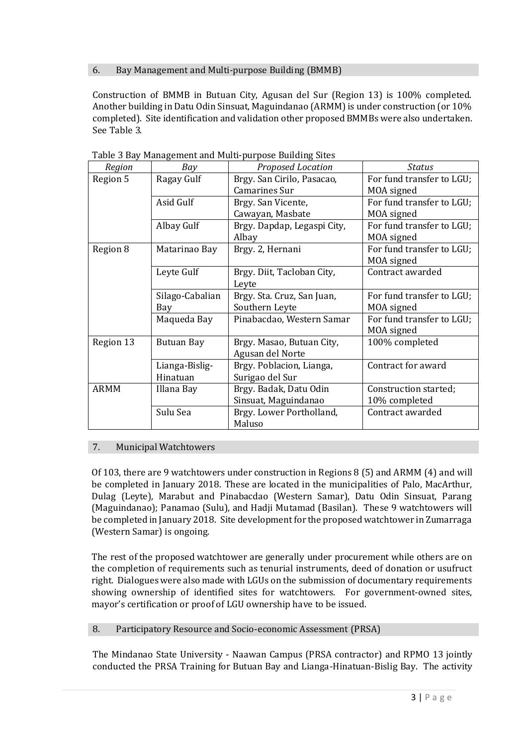## 6. Bay Management and Multi-purpose Building (BMMB)

Construction of BMMB in Butuan City, Agusan del Sur (Region 13) is 100% completed. Another building in Datu Odin Sinsuat, Maguindanao (ARMM) is under construction (or 10% completed). Site identification and validation other proposed BMMBs were also undertaken. See Table 3.

| Region      | Bay               | Proposed Location           | <b>Status</b>             |
|-------------|-------------------|-----------------------------|---------------------------|
| Region 5    | Ragay Gulf        | Brgy. San Cirilo, Pasacao,  | For fund transfer to LGU; |
|             |                   | Camarines Sur               | MOA signed                |
|             | Asid Gulf         | Brgy. San Vicente,          | For fund transfer to LGU; |
|             |                   | Cawayan, Masbate            | MOA signed                |
|             | Albay Gulf        | Brgy. Dapdap, Legaspi City, | For fund transfer to LGU; |
|             |                   | Albay                       | MOA signed                |
| Region 8    | Matarinao Bay     | Brgy. 2, Hernani            | For fund transfer to LGU; |
|             |                   |                             | MOA signed                |
|             | Leyte Gulf        | Brgy. Diit, Tacloban City,  | Contract awarded          |
|             |                   | Leyte                       |                           |
|             | Silago-Cabalian   | Brgy. Sta. Cruz, San Juan,  | For fund transfer to LGU; |
|             | Bay               | Southern Leyte              | MOA signed                |
|             | Maqueda Bay       | Pinabacdao, Western Samar   | For fund transfer to LGU; |
|             |                   |                             | MOA signed                |
| Region 13   | <b>Butuan Bay</b> | Brgy. Masao, Butuan City,   | 100% completed            |
|             |                   | Agusan del Norte            |                           |
|             | Lianga-Bislig-    | Brgy. Poblacion, Lianga,    | Contract for award        |
|             | Hinatuan          | Surigao del Sur             |                           |
| <b>ARMM</b> | Illana Bay        | Brgy. Badak, Datu Odin      | Construction started;     |
|             |                   | Sinsuat, Maguindanao        | 10% completed             |
|             | Sulu Sea          | Brgy. Lower Portholland,    | Contract awarded          |
|             |                   | Maluso                      |                           |

Table 3 Bay Management and Multi-purpose Building Sites

## 7. Municipal Watchtowers

Of 103, there are 9 watchtowers under construction in Regions 8 (5) and ARMM (4) and will be completed in January 2018. These are located in the municipalities of Palo, MacArthur, Dulag (Leyte), Marabut and Pinabacdao (Western Samar), Datu Odin Sinsuat, Parang (Maguindanao); Panamao (Sulu), and Hadji Mutamad (Basilan). These 9 watchtowers will be completed in January 2018. Site development for the proposed watchtower in Zumarraga (Western Samar) is ongoing.

The rest of the proposed watchtower are generally under procurement while others are on the completion of requirements such as tenurial instruments, deed of donation or usufruct right. Dialogues were also made with LGUs on the submission of documentary requirements showing ownership of identified sites for watchtowers. For government-owned sites, mayor's certification or proof of LGU ownership have to be issued.

## 8. Participatory Resource and Socio-economic Assessment (PRSA)

The Mindanao State University - Naawan Campus (PRSA contractor) and RPMO 13 jointly conducted the PRSA Training for Butuan Bay and Lianga-Hinatuan-Bislig Bay. The activity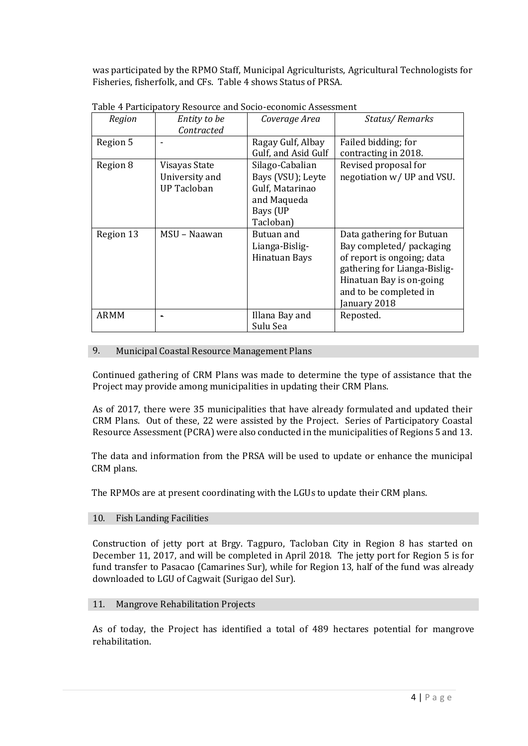was participated by the RPMO Staff, Municipal Agriculturists, Agricultural Technologists for Fisheries, fisherfolk, and CFs. Table 4 shows Status of PRSA.

| Region    | Entity to be       | Coverage Area       | Status/Remarks               |
|-----------|--------------------|---------------------|------------------------------|
|           | Contracted         |                     |                              |
| Region 5  |                    | Ragay Gulf, Albay   | Failed bidding; for          |
|           |                    | Gulf, and Asid Gulf | contracting in 2018.         |
| Region 8  | Visayas State      | Silago-Cabalian     | Revised proposal for         |
|           | University and     | Bays (VSU); Leyte   | negotiation w/ UP and VSU.   |
|           | <b>UP Tacloban</b> | Gulf, Matarinao     |                              |
|           |                    | and Maqueda         |                              |
|           |                    | Bays (UP            |                              |
|           |                    | Tacloban)           |                              |
| Region 13 | MSU – Naawan       | Butuan and          | Data gathering for Butuan    |
|           |                    | Lianga-Bislig-      | Bay completed/ packaging     |
|           |                    | Hinatuan Bays       | of report is ongoing; data   |
|           |                    |                     | gathering for Lianga-Bislig- |
|           |                    |                     | Hinatuan Bay is on-going     |
|           |                    |                     | and to be completed in       |
|           |                    |                     | anuary 2018                  |
| ARMM      |                    | Illana Bay and      | Reposted.                    |
|           |                    | Sulu Sea            |                              |

Table 4 Participatory Resource and Socio-economic Assessment

## 9. Municipal Coastal Resource Management Plans

Continued gathering of CRM Plans was made to determine the type of assistance that the Project may provide among municipalities in updating their CRM Plans.

As of 2017, there were 35 municipalities that have already formulated and updated their CRM Plans. Out of these, 22 were assisted by the Project. Series of Participatory Coastal Resource Assessment (PCRA) were also conducted in the municipalities of Regions 5 and 13.

The data and information from the PRSA will be used to update or enhance the municipal CRM plans.

The RPMOs are at present coordinating with the LGUs to update their CRM plans.

## 10. Fish Landing Facilities

Construction of jetty port at Brgy. Tagpuro, Tacloban City in Region 8 has started on December 11, 2017, and will be completed in April 2018. The jetty port for Region 5 is for fund transfer to Pasacao (Camarines Sur), while for Region 13, half of the fund was already downloaded to LGU of Cagwait (Surigao del Sur).

## 11. Mangrove Rehabilitation Projects

As of today, the Project has identified a total of 489 hectares potential for mangrove rehabilitation.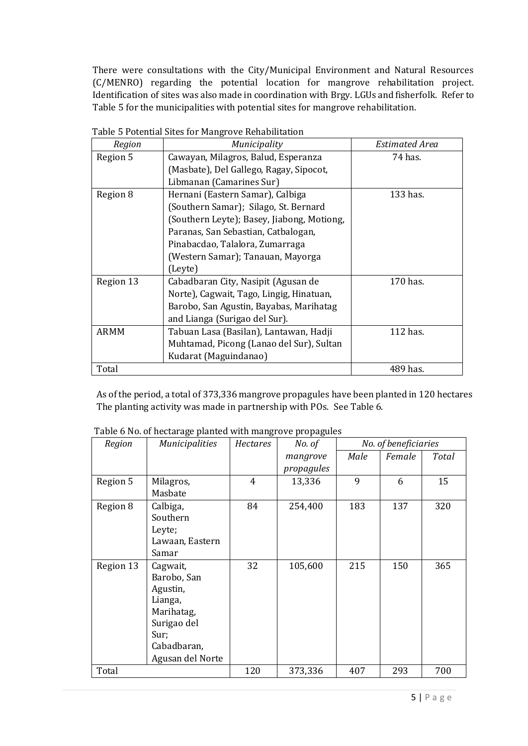There were consultations with the City/Municipal Environment and Natural Resources (C/MENRO) regarding the potential location for mangrove rehabilitation project. Identification of sites was also made in coordination with Brgy. LGUs and fisherfolk. Refer to Table 5 for the municipalities with potential sites for mangrove rehabilitation.

| Region      | Municipality                               | <b>Estimated Area</b> |
|-------------|--------------------------------------------|-----------------------|
| Region 5    | Cawayan, Milagros, Balud, Esperanza        | 74 has.               |
|             | (Masbate), Del Gallego, Ragay, Sipocot,    |                       |
|             | Libmanan (Camarines Sur)                   |                       |
| Region 8    | Hernani (Eastern Samar), Calbiga           | 133 has.              |
|             | (Southern Samar); Silago, St. Bernard      |                       |
|             | (Southern Leyte); Basey, Jiabong, Motiong, |                       |
|             | Paranas, San Sebastian, Catbalogan,        |                       |
|             | Pinabacdao, Talalora, Zumarraga            |                       |
|             | (Western Samar); Tanauan, Mayorga          |                       |
|             | (Leyte)                                    |                       |
| Region 13   | Cabadbaran City, Nasipit (Agusan de        | 170 has.              |
|             | Norte), Cagwait, Tago, Lingig, Hinatuan,   |                       |
|             | Barobo, San Agustin, Bayabas, Marihatag    |                       |
|             | and Lianga (Surigao del Sur).              |                       |
| <b>ARMM</b> | Tabuan Lasa (Basilan), Lantawan, Hadji     | 112 has.              |
|             | Muhtamad, Picong (Lanao del Sur), Sultan   |                       |
|             | Kudarat (Maguindanao)                      |                       |
| Total       |                                            | 489 has.              |

Table 5 Potential Sites for Mangrove Rehabilitation

As of the period, a total of 373,336 mangrove propagules have been planted in 120 hectares The planting activity was made in partnership with POs. See Table 6.

| Region    | <b>Municipalities</b> | Hectares | No. of     | No. of beneficiaries |        |       |
|-----------|-----------------------|----------|------------|----------------------|--------|-------|
|           |                       |          | mangrove   | Male                 | Female | Total |
|           |                       |          | propagules |                      |        |       |
| Region 5  | Milagros,             | 4        | 13,336     | 9                    | 6      | 15    |
|           | Masbate               |          |            |                      |        |       |
| Region 8  | Calbiga,              | 84       | 254,400    | 183                  | 137    | 320   |
|           | Southern              |          |            |                      |        |       |
|           | Leyte;                |          |            |                      |        |       |
|           | Lawaan, Eastern       |          |            |                      |        |       |
|           | Samar                 |          |            |                      |        |       |
| Region 13 | Cagwait,              | 32       | 105,600    | 215                  | 150    | 365   |
|           | Barobo, San           |          |            |                      |        |       |
|           | Agustin,              |          |            |                      |        |       |
|           | Lianga,               |          |            |                      |        |       |
|           | Marihatag,            |          |            |                      |        |       |
|           | Surigao del           |          |            |                      |        |       |
|           | Sur;                  |          |            |                      |        |       |
|           | Cabadbaran,           |          |            |                      |        |       |
|           | Agusan del Norte      |          |            |                      |        |       |
| Total     |                       | 120      | 373,336    | 407                  | 293    | 700   |

Table 6 No. of hectarage planted with mangrove propagules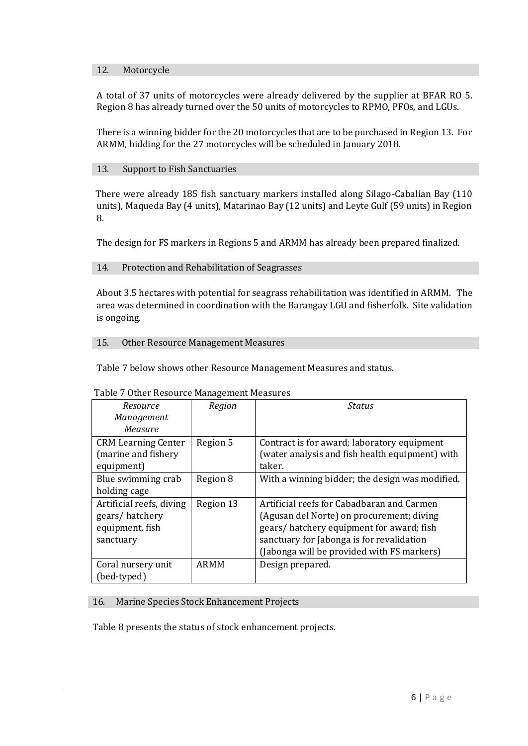#### 12. Motorcycle

A total of 37 units of motorcycles were already delivered by the supplier at BFAR RO 5. Region 8 has already turned over the 50 units of motorcycles to RPMO, PFOs, and LGUs.

There is a winning bidder for the 20 motorcycles that are to be purchased in Region 13. For ARMM, bidding for the 27 motorcycles will be scheduled in January 2018.

#### 13. Support to Fish Sanctuaries

There were already 185 fish sanctuary markers installed along Silago-Cabalian Bay (110 units), Maqueda Bay (4 units), Matarinao Bay (12 units) and Leyte Gulf (59 units) in Region 8.

The design for FS markers in Regions 5 and ARMM has already been prepared finalized.

#### 14. Protection and Rehabilitation of Seagrasses

About 3.5 hectares with potential for seagrass rehabilitation was identified in ARMM. The area was determined in coordination with the Barangay LGU and fisherfolk. Site validation is ongoing.

#### 15. Other Resource Management Measures

Table 7 below shows other Resource Management Measures and status.

| Resource                   | Region      | <b>Status</b>                                   |
|----------------------------|-------------|-------------------------------------------------|
| Management                 |             |                                                 |
| Measure                    |             |                                                 |
| <b>CRM Learning Center</b> | Region 5    | Contract is for award; laboratory equipment     |
| (marine and fishery        |             | (water analysis and fish health equipment) with |
| equipment)                 |             | taker.                                          |
| Blue swimming crab         | Region 8    | With a winning bidder; the design was modified. |
| holding cage               |             |                                                 |
| Artificial reefs, diving   | Region 13   | Artificial reefs for Cabadbaran and Carmen      |
| gears/hatchery             |             | (Agusan del Norte) on procurement; diving       |
| equipment, fish            |             | gears/hatchery equipment for award; fish        |
| sanctuary                  |             | sanctuary for Jabonga is for revalidation       |
|                            |             | (Jabonga will be provided with FS markers)      |
| Coral nursery unit         | <b>ARMM</b> | Design prepared.                                |
| (bed-typed)                |             |                                                 |

#### Table 7 Other Resource Management Measures

#### 16. Marine Species Stock Enhancement Projects

Table 8 presents the status of stock enhancement projects.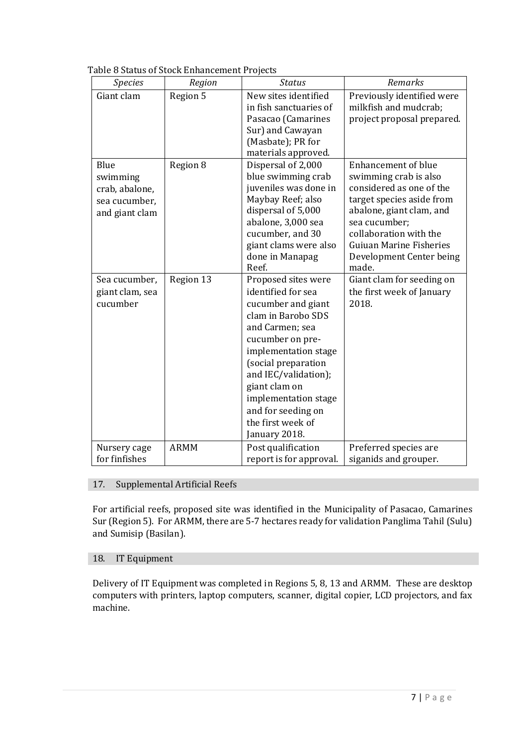| Table 8 Status of Stock Enhancement Projects |
|----------------------------------------------|
|----------------------------------------------|

| <b>Species</b>                                                        | Region      | <b>Status</b>                                                                                                                                                                                                                                                                                            | Remarks                                                                                                                                                                                                                                                    |
|-----------------------------------------------------------------------|-------------|----------------------------------------------------------------------------------------------------------------------------------------------------------------------------------------------------------------------------------------------------------------------------------------------------------|------------------------------------------------------------------------------------------------------------------------------------------------------------------------------------------------------------------------------------------------------------|
| Giant clam                                                            | Region 5    | New sites identified<br>in fish sanctuaries of<br>Pasacao (Camarines<br>Sur) and Cawayan<br>(Masbate); PR for<br>materials approved.                                                                                                                                                                     | Previously identified were<br>milkfish and mudcrab;<br>project proposal prepared.                                                                                                                                                                          |
| Blue<br>swimming<br>crab, abalone,<br>sea cucumber,<br>and giant clam | Region 8    | Dispersal of 2,000<br>blue swimming crab<br>juveniles was done in<br>Maybay Reef; also<br>dispersal of 5,000<br>abalone, 3,000 sea<br>cucumber, and 30<br>giant clams were also<br>done in Manapag<br>Reef.                                                                                              | <b>Enhancement of blue</b><br>swimming crab is also<br>considered as one of the<br>target species aside from<br>abalone, giant clam, and<br>sea cucumber;<br>collaboration with the<br><b>Guiuan Marine Fisheries</b><br>Development Center being<br>made. |
| Sea cucumber,<br>giant clam, sea<br>cucumber                          | Region 13   | Proposed sites were<br>identified for sea<br>cucumber and giant<br>clam in Barobo SDS<br>and Carmen; sea<br>cucumber on pre-<br>implementation stage<br>(social preparation<br>and IEC/validation);<br>giant clam on<br>implementation stage<br>and for seeding on<br>the first week of<br>January 2018. | Giant clam for seeding on<br>the first week of January<br>2018.                                                                                                                                                                                            |
| Nursery cage<br>for finfishes                                         | <b>ARMM</b> | Post qualification<br>report is for approval.                                                                                                                                                                                                                                                            | Preferred species are<br>siganids and grouper.                                                                                                                                                                                                             |

# 17. Supplemental Artificial Reefs

For artificial reefs, proposed site was identified in the Municipality of Pasacao, Camarines Sur (Region 5). For ARMM, there are 5-7 hectares ready for validation Panglima Tahil (Sulu) and Sumisip (Basilan).

# 18. IT Equipment

Delivery of IT Equipment was completed in Regions 5, 8, 13 and ARMM. These are desktop computers with printers, laptop computers, scanner, digital copier, LCD projectors, and fax machine.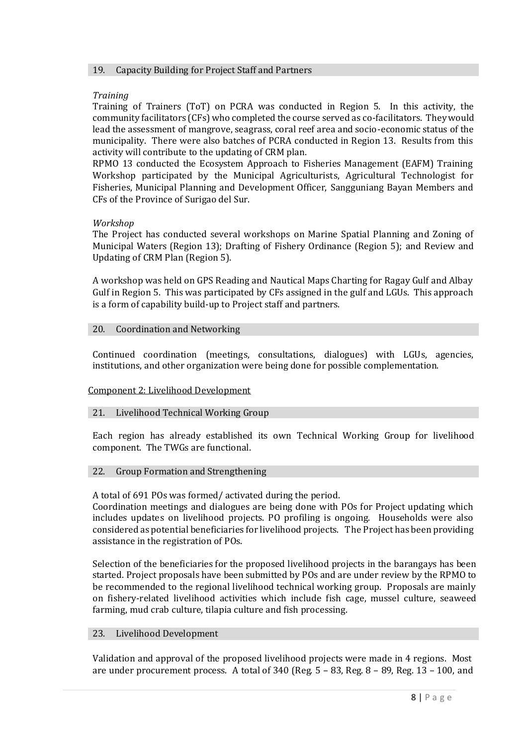#### 19. Capacity Building for Project Staff and Partners

## *Training*

Training of Trainers (ToT) on PCRA was conducted in Region 5. In this activity, the community facilitators (CFs) who completed the course served as co-facilitators. They would lead the assessment of mangrove, seagrass, coral reef area and socio-economic status of the municipality. There were also batches of PCRA conducted in Region 13. Results from this activity will contribute to the updating of CRM plan.

RPMO 13 conducted the Ecosystem Approach to Fisheries Management (EAFM) Training Workshop participated by the Municipal Agriculturists, Agricultural Technologist for Fisheries, Municipal Planning and Development Officer, Sangguniang Bayan Members and CFs of the Province of Surigao del Sur.

## *Workshop*

The Project has conducted several workshops on Marine Spatial Planning and Zoning of Municipal Waters (Region 13); Drafting of Fishery Ordinance (Region 5); and Review and Updating of CRM Plan (Region 5).

A workshop was held on GPS Reading and Nautical Maps Charting for Ragay Gulf and Albay Gulf in Region 5. This was participated by CFs assigned in the gulf and LGUs. This approach is a form of capability build-up to Project staff and partners.

## 20. Coordination and Networking

Continued coordination (meetings, consultations, dialogues) with LGUs, agencies, institutions, and other organization were being done for possible complementation.

## Component 2: Livelihood Development

## 21. Livelihood Technical Working Group

Each region has already established its own Technical Working Group for livelihood component. The TWGs are functional.

## 22. Group Formation and Strengthening

A total of 691 POs was formed/ activated during the period.

Coordination meetings and dialogues are being done with POs for Project updating which includes updates on livelihood projects. PO profiling is ongoing. Households were also considered as potential beneficiaries for livelihood projects. The Project has been providing assistance in the registration of POs.

Selection of the beneficiaries for the proposed livelihood projects in the barangays has been started. Project proposals have been submitted by POs and are under review by the RPMO to be recommended to the regional livelihood technical working group. Proposals are mainly on fishery-related livelihood activities which include fish cage, mussel culture, seaweed farming, mud crab culture, tilapia culture and fish processing.

## 23. Livelihood Development

Validation and approval of the proposed livelihood projects were made in 4 regions. Most are under procurement process. A total of 340 (Reg. 5 – 83, Reg. 8 – 89, Reg. 13 – 100, and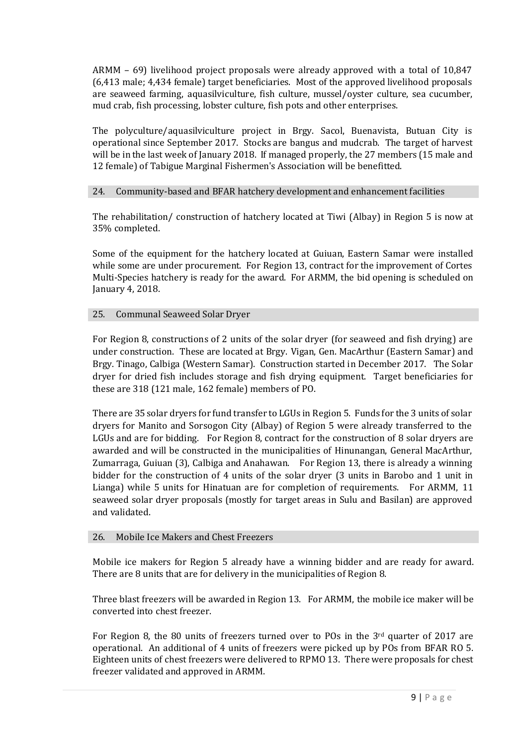ARMM – 69) livelihood project proposals were already approved with a total of 10,847 (6,413 male; 4,434 female) target beneficiaries. Most of the approved livelihood proposals are seaweed farming, aquasilviculture, fish culture, mussel/oyster culture, sea cucumber, mud crab, fish processing, lobster culture, fish pots and other enterprises.

The polyculture/aquasilviculture project in Brgy. Sacol, Buenavista, Butuan City is operational since September 2017. Stocks are bangus and mudcrab. The target of harvest will be in the last week of January 2018. If managed properly, the 27 members (15 male and 12 female) of Tabigue Marginal Fishermen's Association will be benefitted.

## 24. Community-based and BFAR hatchery development and enhancement facilities

The rehabilitation/ construction of hatchery located at Tiwi (Albay) in Region 5 is now at 35% completed.

Some of the equipment for the hatchery located at Guiuan, Eastern Samar were installed while some are under procurement. For Region 13, contract for the improvement of Cortes Multi-Species hatchery is ready for the award. For ARMM, the bid opening is scheduled on January 4, 2018.

## 25. Communal Seaweed Solar Dryer

For Region 8, constructions of 2 units of the solar dryer (for seaweed and fish drying) are under construction. These are located at Brgy. Vigan, Gen. MacArthur (Eastern Samar) and Brgy. Tinago, Calbiga (Western Samar). Construction started in December 2017. The Solar dryer for dried fish includes storage and fish drying equipment. Target beneficiaries for these are 318 (121 male, 162 female) members of PO.

There are 35 solar dryers for fund transfer to LGUs in Region 5. Funds for the 3 units of solar dryers for Manito and Sorsogon City (Albay) of Region 5 were already transferred to the LGUs and are for bidding. For Region 8, contract for the construction of 8 solar dryers are awarded and will be constructed in the municipalities of Hinunangan, General MacArthur, Zumarraga, Guiuan (3), Calbiga and Anahawan. For Region 13, there is already a winning bidder for the construction of 4 units of the solar dryer (3 units in Barobo and 1 unit in Lianga) while 5 units for Hinatuan are for completion of requirements. For ARMM, 11 seaweed solar dryer proposals (mostly for target areas in Sulu and Basilan) are approved and validated.

## 26. Mobile Ice Makers and Chest Freezers

Mobile ice makers for Region 5 already have a winning bidder and are ready for award. There are 8 units that are for delivery in the municipalities of Region 8.

Three blast freezers will be awarded in Region 13. For ARMM, the mobile ice maker will be converted into chest freezer.

For Region 8, the 80 units of freezers turned over to POs in the  $3<sup>rd</sup>$  quarter of 2017 are operational. An additional of 4 units of freezers were picked up by POs from BFAR RO 5. Eighteen units of chest freezers were delivered to RPMO 13. There were proposals for chest freezer validated and approved in ARMM.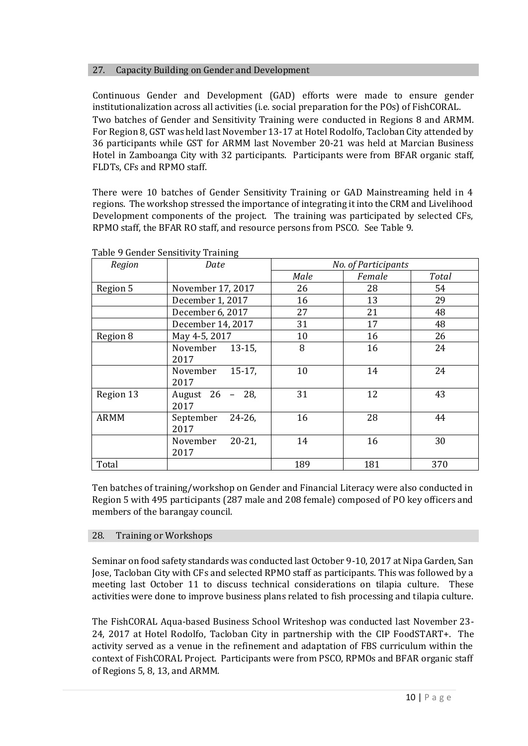## 27. Capacity Building on Gender and Development

Continuous Gender and Development (GAD) efforts were made to ensure gender institutionalization across all activities (i.e. social preparation for the POs) of FishCORAL. Two batches of Gender and Sensitivity Training were conducted in Regions 8 and ARMM. For Region 8, GST was held last November 13-17 at Hotel Rodolfo, Tacloban City attended by 36 participants while GST for ARMM last November 20-21 was held at Marcian Business Hotel in Zamboanga City with 32 participants. Participants were from BFAR organic staff, FLDTs, CFs and RPMO staff.

There were 10 batches of Gender Sensitivity Training or GAD Mainstreaming held in 4 regions. The workshop stressed the importance of integrating it into the CRM and Livelihood Development components of the project. The training was participated by selected CFs, RPMO staff, the BFAR RO staff, and resource persons from PSCO. See Table 9.

| Region      | Date                           | No. of Participants |        |       |
|-------------|--------------------------------|---------------------|--------|-------|
|             |                                | Male                | Female | Total |
| Region 5    | November 17, 2017              | 26                  | 28     | 54    |
|             | December 1, 2017               | 16                  | 13     | 29    |
|             | December 6, 2017               | 27                  | 21     | 48    |
|             | December 14, 2017              | 31                  | 17     | 48    |
| Region 8    | May 4-5, 2017                  | 10                  | 16     | 26    |
|             | $13-15$ ,<br>November<br>2017  | 8                   | 16     | 24    |
|             | $15-17$ ,<br>November<br>2017  | 10                  | 14     | 24    |
| Region 13   | August 26 - 28,<br>2017        | 31                  | 12     | 43    |
| <b>ARMM</b> | September<br>$24 - 26$<br>2017 | 16                  | 28     | 44    |
|             | $20 - 21$<br>November<br>2017  | 14                  | 16     | 30    |
| Total       |                                | 189                 | 181    | 370   |

Table 9 Gender Sensitivity Training

Ten batches of training/workshop on Gender and Financial Literacy were also conducted in Region 5 with 495 participants (287 male and 208 female) composed of PO key officers and members of the barangay council.

## 28. Training or Workshops

Seminar on food safety standards was conducted last October 9-10, 2017 at Nipa Garden, San Jose, Tacloban City with CFs and selected RPMO staff as participants. This was followed by a meeting last October 11 to discuss technical considerations on tilapia culture. These activities were done to improve business plans related to fish processing and tilapia culture.

The FishCORAL Aqua-based Business School Writeshop was conducted last November 23- 24, 2017 at Hotel Rodolfo, Tacloban City in partnership with the CIP FoodSTART+. The activity served as a venue in the refinement and adaptation of FBS curriculum within the context of FishCORAL Project. Participants were from PSCO, RPMOs and BFAR organic staff of Regions 5, 8, 13, and ARMM.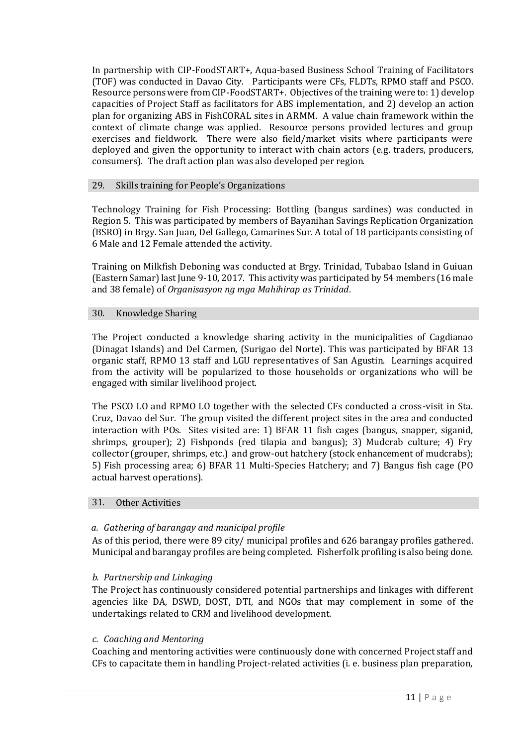In partnership with CIP-FoodSTART+, Aqua-based Business School Training of Facilitators (TOF) was conducted in Davao City. Participants were CFs, FLDTs, RPMO staff and PSCO. Resource persons were from CIP-FoodSTART+. Objectives of the training were to: 1) develop capacities of Project Staff as facilitators for ABS implementation, and 2) develop an action plan for organizing ABS in FishCORAL sites in ARMM. A value chain framework within the context of climate change was applied. Resource persons provided lectures and group exercises and fieldwork. There were also field/market visits where participants were deployed and given the opportunity to interact with chain actors (e.g. traders, producers, consumers). The draft action plan was also developed per region.

#### 29. Skills training for People's Organizations

Technology Training for Fish Processing: Bottling (bangus sardines) was conducted in Region 5. This was participated by members of Bayanihan Savings Replication Organization (BSRO) in Brgy. San Juan, Del Gallego, Camarines Sur. A total of 18 participants consisting of 6 Male and 12 Female attended the activity.

Training on Milkfish Deboning was conducted at Brgy. Trinidad, Tubabao Island in Guiuan (Eastern Samar) last June 9-10, 2017. This activity was participated by 54 members (16 male and 38 female) of *Organisasyon ng mga Mahihirap as Trinidad*.

#### 30. Knowledge Sharing

The Project conducted a knowledge sharing activity in the municipalities of Cagdianao (Dinagat Islands) and Del Carmen, (Surigao del Norte). This was participated by BFAR 13 organic staff, RPMO 13 staff and LGU representatives of San Agustin. Learnings acquired from the activity will be popularized to those households or organizations who will be engaged with similar livelihood project.

The PSCO LO and RPMO LO together with the selected CFs conducted a cross-visit in Sta. Cruz, Davao del Sur. The group visited the different project sites in the area and conducted interaction with POs. Sites visited are: 1) BFAR 11 fish cages (bangus, snapper, siganid, shrimps, grouper); 2) Fishponds (red tilapia and bangus); 3) Mudcrab culture; 4) Fry collector (grouper, shrimps, etc.) and grow-out hatchery (stock enhancement of mudcrabs); 5) Fish processing area; 6) BFAR 11 Multi-Species Hatchery; and 7) Bangus fish cage (PO actual harvest operations).

#### 31. Other Activities

## *a. Gathering of barangay and municipal profile*

As of this period, there were 89 city/ municipal profiles and 626 barangay profiles gathered. Municipal and barangay profiles are being completed. Fisherfolk profiling is also being done.

## *b. Partnership and Linkaging*

The Project has continuously considered potential partnerships and linkages with different agencies like DA, DSWD, DOST, DTI, and NGOs that may complement in some of the undertakings related to CRM and livelihood development.

#### *c. Coaching and Mentoring*

Coaching and mentoring activities were continuously done with concerned Project staff and CFs to capacitate them in handling Project-related activities (i. e. business plan preparation,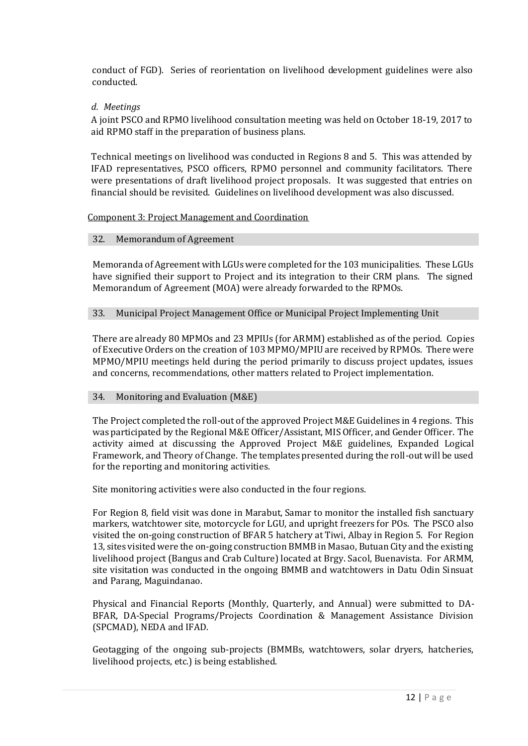conduct of FGD). Series of reorientation on livelihood development guidelines were also conducted.

## *d. Meetings*

A joint PSCO and RPMO livelihood consultation meeting was held on October 18-19, 2017 to aid RPMO staff in the preparation of business plans.

Technical meetings on livelihood was conducted in Regions 8 and 5. This was attended by IFAD representatives, PSCO officers, RPMO personnel and community facilitators. There were presentations of draft livelihood project proposals. It was suggested that entries on financial should be revisited. Guidelines on livelihood development was also discussed.

#### Component 3: Project Management and Coordination

#### 32. Memorandum of Agreement

Memoranda of Agreement with LGUs were completed for the 103 municipalities. These LGUs have signified their support to Project and its integration to their CRM plans. The signed Memorandum of Agreement (MOA) were already forwarded to the RPMOs.

#### 33. Municipal Project Management Office or Municipal Project Implementing Unit

There are already 80 MPMOs and 23 MPIUs (for ARMM) established as of the period. Copies of Executive Orders on the creation of 103 MPMO/MPIU are received by RPMOs. There were MPMO/MPIU meetings held during the period primarily to discuss project updates, issues and concerns, recommendations, other matters related to Project implementation.

#### 34. Monitoring and Evaluation (M&E)

The Project completed the roll-out of the approved Project M&E Guidelines in 4 regions. This was participated by the Regional M&E Officer/Assistant, MIS Officer, and Gender Officer. The activity aimed at discussing the Approved Project M&E guidelines, Expanded Logical Framework, and Theory of Change. The templates presented during the roll-out will be used for the reporting and monitoring activities.

Site monitoring activities were also conducted in the four regions.

For Region 8, field visit was done in Marabut, Samar to monitor the installed fish sanctuary markers, watchtower site, motorcycle for LGU, and upright freezers for POs. The PSCO also visited the on-going construction of BFAR 5 hatchery at Tiwi, Albay in Region 5. For Region 13, sites visited were the on-going construction BMMB in Masao, Butuan City and the existing livelihood project (Bangus and Crab Culture) located at Brgy. Sacol, Buenavista. For ARMM, site visitation was conducted in the ongoing BMMB and watchtowers in Datu Odin Sinsuat and Parang, Maguindanao.

Physical and Financial Reports (Monthly, Quarterly, and Annual) were submitted to DA-BFAR, DA-Special Programs/Projects Coordination & Management Assistance Division (SPCMAD), NEDA and IFAD.

Geotagging of the ongoing sub-projects (BMMBs, watchtowers, solar dryers, hatcheries, livelihood projects, etc.) is being established.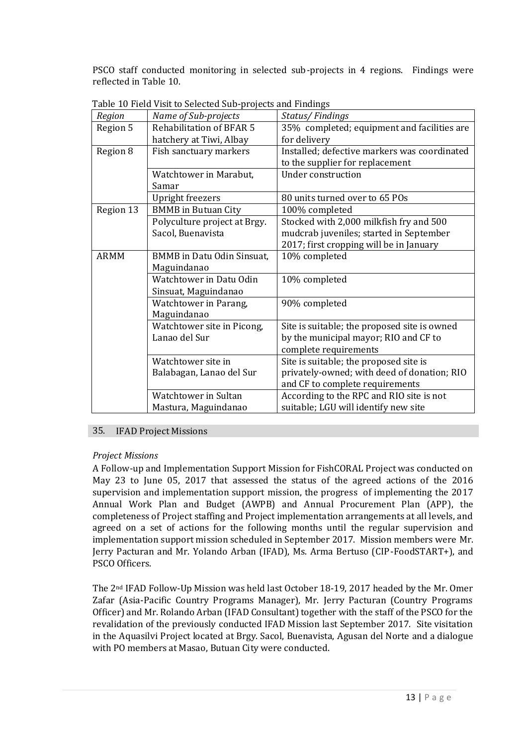PSCO staff conducted monitoring in selected sub-projects in 4 regions. Findings were reflected in Table 10.

| Region      | Name of Sub-projects            | Status/Findings                              |
|-------------|---------------------------------|----------------------------------------------|
| Region 5    | <b>Rehabilitation of BFAR 5</b> | 35% completed; equipment and facilities are  |
|             | hatchery at Tiwi, Albay         | for delivery                                 |
| Region 8    | Fish sanctuary markers          | Installed; defective markers was coordinated |
|             |                                 | to the supplier for replacement              |
|             | Watchtower in Marabut,          | Under construction                           |
|             | Samar                           |                                              |
|             | <b>Upright freezers</b>         | 80 units turned over to 65 POs               |
| Region 13   | <b>BMMB</b> in Butuan City      | 100% completed                               |
|             | Polyculture project at Brgy.    | Stocked with 2,000 milkfish fry and 500      |
|             | Sacol, Buenavista               | mudcrab juveniles; started in September      |
|             |                                 | 2017; first cropping will be in January      |
| <b>ARMM</b> | BMMB in Datu Odin Sinsuat,      | 10% completed                                |
|             | Maguindanao                     |                                              |
|             | Watchtower in Datu Odin         | 10% completed                                |
|             | Sinsuat, Maguindanao            |                                              |
|             | Watchtower in Parang,           | 90% completed                                |
|             | Maguindanao                     |                                              |
|             | Watchtower site in Picong,      | Site is suitable; the proposed site is owned |
|             | Lanao del Sur                   | by the municipal mayor; RIO and CF to        |
|             |                                 | complete requirements                        |
|             | Watchtower site in              | Site is suitable; the proposed site is       |
|             | Balabagan, Lanao del Sur        | privately-owned; with deed of donation; RIO  |
|             |                                 | and CF to complete requirements              |
|             | Watchtower in Sultan            | According to the RPC and RIO site is not     |
|             | Mastura, Maguindanao            | suitable; LGU will identify new site         |

Table 10 Field Visit to Selected Sub-projects and Findings

## 35. IFAD Project Missions

## *Project Missions*

A Follow-up and Implementation Support Mission for FishCORAL Project was conducted on May 23 to June 05, 2017 that assessed the status of the agreed actions of the 2016 supervision and implementation support mission, the progress of implementing the 2017 Annual Work Plan and Budget (AWPB) and Annual Procurement Plan (APP), the completeness of Project staffing and Project implementation arrangements at all levels, and agreed on a set of actions for the following months until the regular supervision and implementation support mission scheduled in September 2017. Mission members were Mr. Jerry Pacturan and Mr. Yolando Arban (IFAD), Ms. Arma Bertuso (CIP-FoodSTART+), and PSCO Officers.

The 2nd IFAD Follow-Up Mission was held last October 18-19, 2017 headed by the Mr. Omer Zafar (Asia-Pacific Country Programs Manager), Mr. Jerry Pacturan (Country Programs Officer) and Mr. Rolando Arban (IFAD Consultant) together with the staff of the PSCO for the revalidation of the previously conducted IFAD Mission last September 2017. Site visitation in the Aquasilvi Project located at Brgy. Sacol, Buenavista, Agusan del Norte and a dialogue with PO members at Masao, Butuan City were conducted.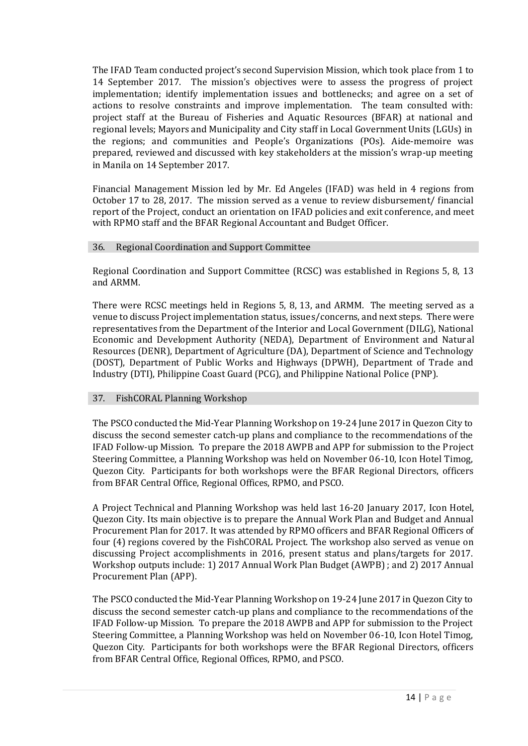The IFAD Team conducted project's second Supervision Mission, which took place from 1 to 14 September 2017. The mission's objectives were to assess the progress of project implementation; identify implementation issues and bottlenecks; and agree on a set of actions to resolve constraints and improve implementation. The team consulted with: project staff at the Bureau of Fisheries and Aquatic Resources (BFAR) at national and regional levels; Mayors and Municipality and City staff in Local Government Units (LGUs) in the regions; and communities and People's Organizations (POs). Aide-memoire was prepared, reviewed and discussed with key stakeholders at the mission's wrap-up meeting in Manila on 14 September 2017.

Financial Management Mission led by Mr. Ed Angeles (IFAD) was held in 4 regions from October 17 to 28, 2017. The mission served as a venue to review disbursement/ financial report of the Project, conduct an orientation on IFAD policies and exit conference, and meet with RPMO staff and the BFAR Regional Accountant and Budget Officer.

#### 36. Regional Coordination and Support Committee

Regional Coordination and Support Committee (RCSC) was established in Regions 5, 8, 13 and ARMM.

There were RCSC meetings held in Regions 5, 8, 13, and ARMM. The meeting served as a venue to discuss Project implementation status, issues/concerns, and next steps. There were representatives from the Department of the Interior and Local Government (DILG), National Economic and Development Authority (NEDA), Department of Environment and Natural Resources (DENR), Department of Agriculture (DA), Department of Science and Technology (DOST), Department of Public Works and Highways (DPWH), Department of Trade and Industry (DTI), Philippine Coast Guard (PCG), and Philippine National Police (PNP).

## 37. FishCORAL Planning Workshop

The PSCO conducted the Mid-Year Planning Workshop on 19-24 June 2017 in Quezon City to discuss the second semester catch-up plans and compliance to the recommendations of the IFAD Follow-up Mission. To prepare the 2018 AWPB and APP for submission to the Project Steering Committee, a Planning Workshop was held on November 06-10, Icon Hotel Timog, Quezon City. Participants for both workshops were the BFAR Regional Directors, officers from BFAR Central Office, Regional Offices, RPMO, and PSCO.

A Project Technical and Planning Workshop was held last 16-20 January 2017, Icon Hotel, Quezon City. Its main objective is to prepare the Annual Work Plan and Budget and Annual Procurement Plan for 2017. It was attended by RPMO officers and BFAR Regional Officers of four (4) regions covered by the FishCORAL Project. The workshop also served as venue on discussing Project accomplishments in 2016, present status and plans/targets for 2017. Workshop outputs include: 1) 2017 Annual Work Plan Budget (AWPB) ; and 2) 2017 Annual Procurement Plan (APP).

The PSCO conducted the Mid-Year Planning Workshop on 19-24 June 2017 in Quezon City to discuss the second semester catch-up plans and compliance to the recommendations of the IFAD Follow-up Mission. To prepare the 2018 AWPB and APP for submission to the Project Steering Committee, a Planning Workshop was held on November 06-10, Icon Hotel Timog, Quezon City. Participants for both workshops were the BFAR Regional Directors, officers from BFAR Central Office, Regional Offices, RPMO, and PSCO.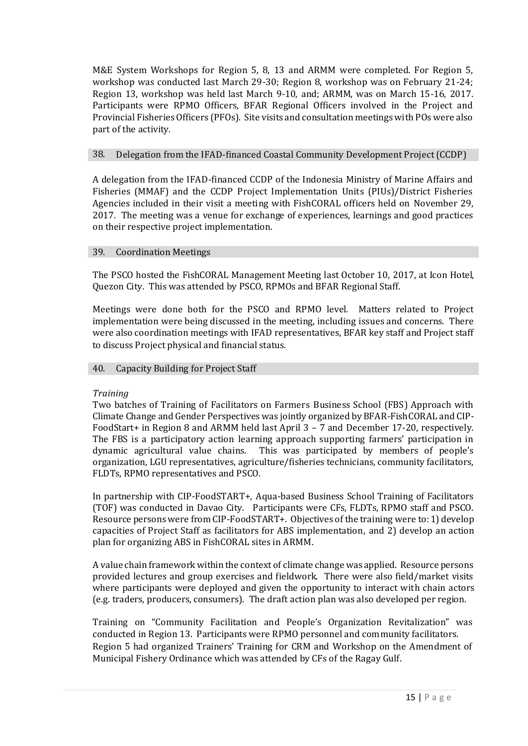M&E System Workshops for Region 5, 8, 13 and ARMM were completed. For Region 5, workshop was conducted last March 29-30; Region 8, workshop was on February 21-24; Region 13, workshop was held last March 9-10, and; ARMM, was on March 15-16, 2017. Participants were RPMO Officers, BFAR Regional Officers involved in the Project and Provincial Fisheries Officers (PFOs). Site visits and consultation meetings with POs were also part of the activity.

#### 38. Delegation from the IFAD-financed Coastal Community Development Project (CCDP)

A delegation from the IFAD-financed CCDP of the Indonesia Ministry of Marine Affairs and Fisheries (MMAF) and the CCDP Project Implementation Units (PIUs)/District Fisheries Agencies included in their visit a meeting with FishCORAL officers held on November 29, 2017. The meeting was a venue for exchange of experiences, learnings and good practices on their respective project implementation.

#### 39. Coordination Meetings

The PSCO hosted the FishCORAL Management Meeting last October 10, 2017, at Icon Hotel, Quezon City. This was attended by PSCO, RPMOs and BFAR Regional Staff.

Meetings were done both for the PSCO and RPMO level. Matters related to Project implementation were being discussed in the meeting, including issues and concerns. There were also coordination meetings with IFAD representatives, BFAR key staff and Project staff to discuss Project physical and financial status.

#### 40. Capacity Building for Project Staff

#### *Training*

Two batches of Training of Facilitators on Farmers Business School (FBS) Approach with Climate Change and Gender Perspectives was jointly organized by BFAR-FishCORAL and CIP-FoodStart+ in Region 8 and ARMM held last April 3 – 7 and December 17-20, respectively. The FBS is a participatory action learning approach supporting farmers' participation in dynamic agricultural value chains. This was participated by members of people's organization, LGU representatives, agriculture/fisheries technicians, community facilitators, FLDTs, RPMO representatives and PSCO.

In partnership with CIP-FoodSTART+, Aqua-based Business School Training of Facilitators (TOF) was conducted in Davao City. Participants were CFs, FLDTs, RPMO staff and PSCO. Resource persons were from CIP-FoodSTART+. Objectives of the training were to: 1) develop capacities of Project Staff as facilitators for ABS implementation, and 2) develop an action plan for organizing ABS in FishCORAL sites in ARMM.

A value chain framework within the context of climate change was applied. Resource persons provided lectures and group exercises and fieldwork. There were also field/market visits where participants were deployed and given the opportunity to interact with chain actors (e.g. traders, producers, consumers). The draft action plan was also developed per region.

Training on "Community Facilitation and People's Organization Revitalization" was conducted in Region 13. Participants were RPMO personnel and community facilitators. Region 5 had organized Trainers' Training for CRM and Workshop on the Amendment of Municipal Fishery Ordinance which was attended by CFs of the Ragay Gulf.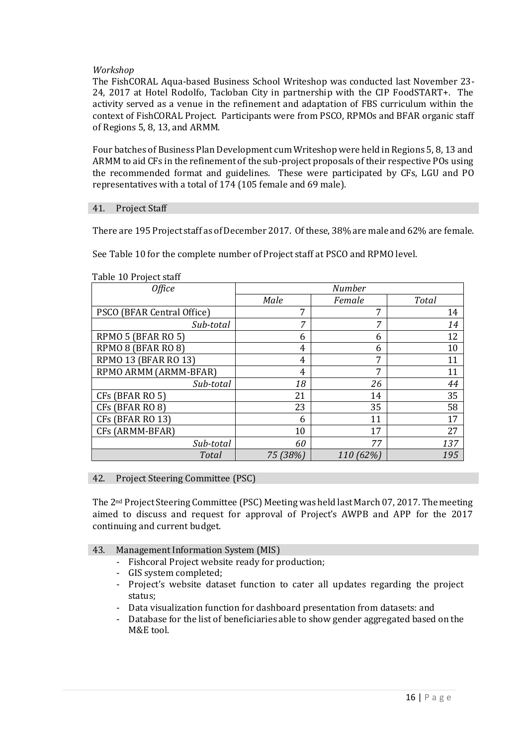## *Workshop*

The FishCORAL Aqua-based Business School Writeshop was conducted last November 23- 24, 2017 at Hotel Rodolfo, Tacloban City in partnership with the CIP FoodSTART+. The activity served as a venue in the refinement and adaptation of FBS curriculum within the context of FishCORAL Project. Participants were from PSCO, RPMOs and BFAR organic staff of Regions 5, 8, 13, and ARMM.

Four batches of Business Plan Development cum Writeshop were held in Regions 5, 8, 13 and ARMM to aid CFs in the refinement of the sub-project proposals of their respective POs using the recommended format and guidelines. These were participated by CFs, LGU and PO representatives with a total of 174 (105 female and 69 male).

#### 41. Project Staff

There are 195 Project staff as of December 2017. Of these, 38% are male and 62% are female.

See Table 10 for the complete number of Project staff at PSCO and RPMO level.

| <b>Office</b>              | <b>Number</b> |           |       |
|----------------------------|---------------|-----------|-------|
|                            | Male          | Female    | Total |
| PSCO (BFAR Central Office) | 7             | 7         | 14    |
| Sub-total                  | 7             | 7         | 14    |
| RPMO 5 (BFAR RO 5)         | 6             | 6         | 12    |
| RPMO 8 (BFAR RO 8)         | 4             | 6         | 10    |
| RPMO 13 (BFAR RO 13)       | 4             | 7         | 11    |
| RPMO ARMM (ARMM-BFAR)      | 4             | 7         | 11    |
| Sub-total                  | 18            | 26        | 44    |
| CFs (BFAR RO 5)            | 21            | 14        | 35    |
| CFs (BFAR RO 8)            | 23            | 35        | 58    |
| CFs (BFAR RO 13)           | 6             | 11        | 17    |
| CFs (ARMM-BFAR)            | 10            | 17        | 27    |
| Sub-total                  | 60            | 77        | 137   |
| Total                      | 75 (38%)      | 110 (62%) | 195   |

#### Table 10 Project staff

## 42. Project Steering Committee (PSC)

The 2nd Project Steering Committee (PSC) Meeting was held last March 07, 2017. The meeting aimed to discuss and request for approval of Project's AWPB and APP for the 2017 continuing and current budget.

- 43. Management Information System (MIS)
	- Fishcoral Project website ready for production;
	- GIS system completed;
	- Project's website dataset function to cater all updates regarding the project status;
	- Data visualization function for dashboard presentation from datasets: and
	- Database for the list of beneficiaries able to show gender aggregated based on the M&E tool.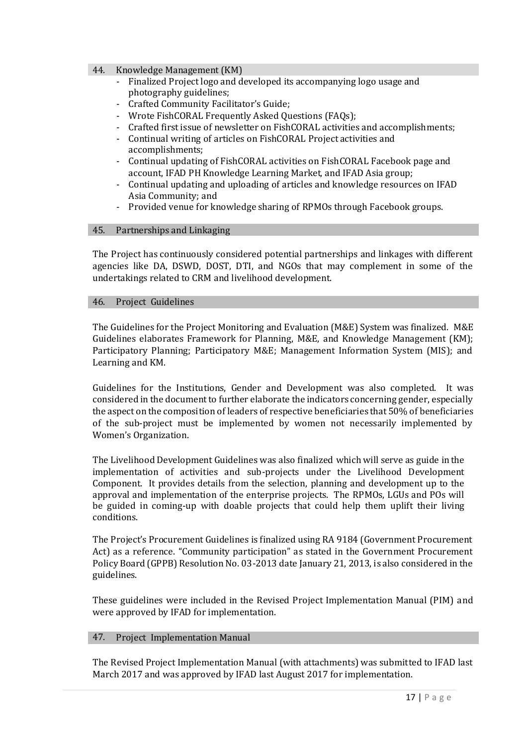#### 44. Knowledge Management (KM)

- Finalized Project logo and developed its accompanying logo usage and photography guidelines;
- Crafted Community Facilitator's Guide;
- Wrote FishCORAL Frequently Asked Questions (FAQs);
- Crafted first issue of newsletter on FishCORAL activities and accomplishments;
- Continual writing of articles on FishCORAL Project activities and accomplishments;
- Continual updating of FishCORAL activities on FishCORAL Facebook page and account, IFAD PH Knowledge Learning Market, and IFAD Asia group;
- Continual updating and uploading of articles and knowledge resources on IFAD Asia Community; and
- Provided venue for knowledge sharing of RPMOs through Facebook groups.

## 45. Partnerships and Linkaging

The Project has continuously considered potential partnerships and linkages with different agencies like DA, DSWD, DOST, DTI, and NGOs that may complement in some of the undertakings related to CRM and livelihood development.

#### 46. Project Guidelines

The Guidelines for the Project Monitoring and Evaluation (M&E) System was finalized. M&E Guidelines elaborates Framework for Planning, M&E, and Knowledge Management (KM); Participatory Planning; Participatory M&E; Management Information System (MIS); and Learning and KM.

Guidelines for the Institutions, Gender and Development was also completed. It was considered in the document to further elaborate the indicators concerning gender, especially the aspect on the composition of leaders of respective beneficiaries that 50% of beneficiaries of the sub-project must be implemented by women not necessarily implemented by Women's Organization.

The Livelihood Development Guidelines was also finalized which will serve as guide in the implementation of activities and sub-projects under the Livelihood Development Component. It provides details from the selection, planning and development up to the approval and implementation of the enterprise projects. The RPMOs, LGUs and POs will be guided in coming-up with doable projects that could help them uplift their living conditions.

The Project's Procurement Guidelines is finalized using RA 9184 (Government Procurement Act) as a reference. "Community participation" as stated in the Government Procurement Policy Board (GPPB) Resolution No. 03-2013 date January 21, 2013, is also considered in the guidelines.

These guidelines were included in the Revised Project Implementation Manual (PIM) and were approved by IFAD for implementation.

## 47. Project Implementation Manual

The Revised Project Implementation Manual (with attachments) was submitted to IFAD last March 2017 and was approved by IFAD last August 2017 for implementation.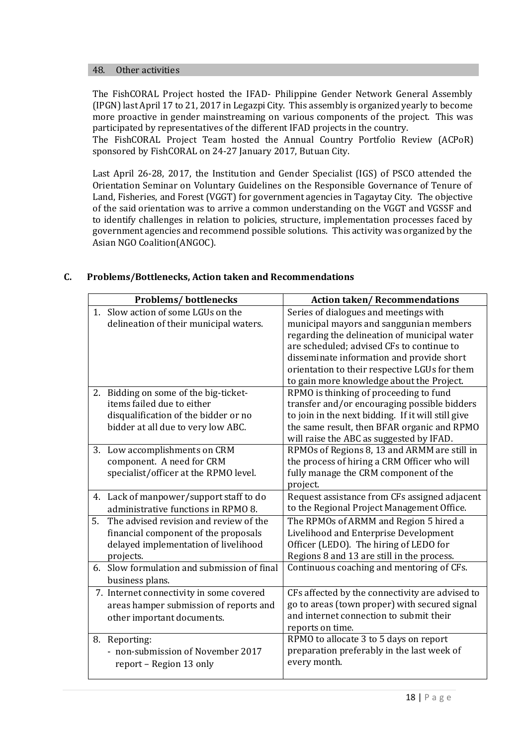#### 48. Other activities

The FishCORAL Project hosted the IFAD- Philippine Gender Network General Assembly (IPGN) last April 17 to 21, 2017 in Legazpi City. This assembly is organized yearly to become more proactive in gender mainstreaming on various components of the project. This was participated by representatives of the different IFAD projects in the country.

The FishCORAL Project Team hosted the Annual Country Portfolio Review (ACPoR) sponsored by FishCORAL on 24-27 January 2017, Butuan City.

Last April 26-28, 2017, the Institution and Gender Specialist (IGS) of PSCO attended the Orientation Seminar on Voluntary Guidelines on the Responsible Governance of Tenure of Land, Fisheries, and Forest (VGGT) for government agencies in Tagaytay City. The objective of the said orientation was to arrive a common understanding on the VGGT and VGSSF and to identify challenges in relation to policies, structure, implementation processes faced by government agencies and recommend possible solutions. This activity was organized by the Asian NGO Coalition(ANGOC).

|    | <b>Problems/bottlenecks</b>                 | <b>Action taken/Recommendations</b>                |
|----|---------------------------------------------|----------------------------------------------------|
|    | 1. Slow action of some LGUs on the          | Series of dialogues and meetings with              |
|    | delineation of their municipal waters.      | municipal mayors and sanggunian members            |
|    |                                             | regarding the delineation of municipal water       |
|    |                                             | are scheduled; advised CFs to continue to          |
|    |                                             | disseminate information and provide short          |
|    |                                             | orientation to their respective LGUs for them      |
|    |                                             | to gain more knowledge about the Project.          |
|    | 2. Bidding on some of the big-ticket-       | RPMO is thinking of proceeding to fund             |
|    | items failed due to either                  | transfer and/or encouraging possible bidders       |
|    | disqualification of the bidder or no        | to join in the next bidding. If it will still give |
|    | bidder at all due to very low ABC.          | the same result, then BFAR organic and RPMO        |
|    |                                             | will raise the ABC as suggested by IFAD.           |
| 3. | Low accomplishments on CRM                  | RPMOs of Regions 8, 13 and ARMM are still in       |
|    | component. A need for CRM                   | the process of hiring a CRM Officer who will       |
|    | specialist/officer at the RPMO level.       | fully manage the CRM component of the              |
|    |                                             | project.                                           |
|    | 4. Lack of manpower/support staff to do     | Request assistance from CFs assigned adjacent      |
|    | administrative functions in RPMO 8.         | to the Regional Project Management Office.         |
| 5. | The advised revision and review of the      | The RPMOs of ARMM and Region 5 hired a             |
|    | financial component of the proposals        | Livelihood and Enterprise Development              |
|    | delayed implementation of livelihood        | Officer (LEDO). The hiring of LEDO for             |
|    | projects.                                   | Regions 8 and 13 are still in the process.         |
|    | 6. Slow formulation and submission of final | Continuous coaching and mentoring of CFs.          |
|    | business plans.                             |                                                    |
|    | 7. Internet connectivity in some covered    | CFs affected by the connectivity are advised to    |
|    | areas hamper submission of reports and      | go to areas (town proper) with secured signal      |
|    | other important documents.                  | and internet connection to submit their            |
|    |                                             | reports on time.                                   |
| 8. | Reporting:                                  | RPMO to allocate 3 to 5 days on report             |
|    | - non-submission of November 2017           | preparation preferably in the last week of         |
|    | report - Region 13 only                     | every month.                                       |
|    |                                             |                                                    |

## **C. Problems/Bottlenecks, Action taken and Recommendations**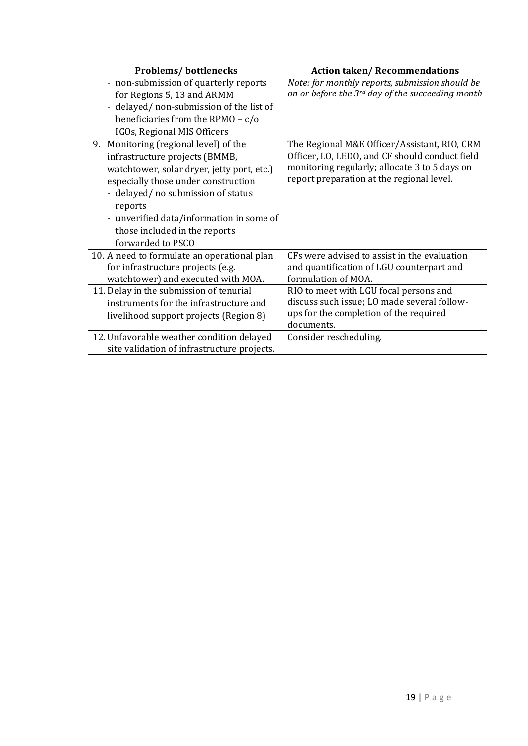| <b>Problems/bottlenecks</b>                 | <b>Action taken/Recommendations</b>              |
|---------------------------------------------|--------------------------------------------------|
| - non-submission of quarterly reports       | Note: for monthly reports, submission should be  |
| for Regions 5, 13 and ARMM                  | on or before the 3rd day of the succeeding month |
| - delayed/ non-submission of the list of    |                                                  |
| beneficiaries from the RPMO - $c/o$         |                                                  |
| IGOs, Regional MIS Officers                 |                                                  |
| 9.<br>Monitoring (regional level) of the    | The Regional M&E Officer/Assistant, RIO, CRM     |
| infrastructure projects (BMMB,              | Officer, LO, LEDO, and CF should conduct field   |
| watchtower, solar dryer, jetty port, etc.)  | monitoring regularly; allocate 3 to 5 days on    |
| especially those under construction         | report preparation at the regional level.        |
| - delayed/ no submission of status          |                                                  |
| reports                                     |                                                  |
| - unverified data/information in some of    |                                                  |
| those included in the reports               |                                                  |
| forwarded to PSCO                           |                                                  |
| 10. A need to formulate an operational plan | CFs were advised to assist in the evaluation     |
| for infrastructure projects (e.g.           | and quantification of LGU counterpart and        |
| watchtower) and executed with MOA.          | formulation of MOA.                              |
| 11. Delay in the submission of tenurial     | RIO to meet with LGU focal persons and           |
| instruments for the infrastructure and      | discuss such issue; LO made several follow-      |
| livelihood support projects (Region 8)      | ups for the completion of the required           |
|                                             | documents.                                       |
| 12. Unfavorable weather condition delayed   | Consider rescheduling.                           |
| site validation of infrastructure projects. |                                                  |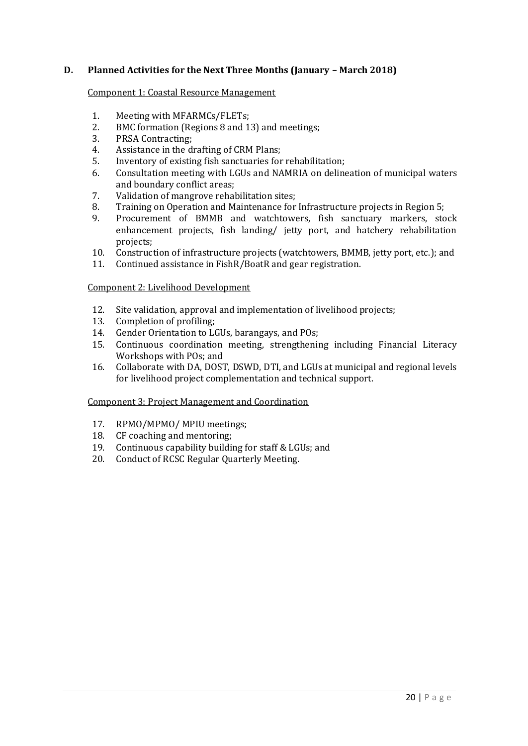## **D. Planned Activities for the Next Three Months (January – March 2018)**

#### Component 1: Coastal Resource Management

- 1. Meeting with MFARMCs/FLETs;
- 2. BMC formation (Regions 8 and 13) and meetings;
- 3. PRSA Contracting;
- 4. Assistance in the drafting of CRM Plans;
- 5. Inventory of existing fish sanctuaries for rehabilitation;
- 6. Consultation meeting with LGUs and NAMRIA on delineation of municipal waters and boundary conflict areas;
- 7. Validation of mangrove rehabilitation sites;
- 8. Training on Operation and Maintenance for Infrastructure projects in Region 5;
- 9. Procurement of BMMB and watchtowers, fish sanctuary markers, stock enhancement projects, fish landing/ jetty port, and hatchery rehabilitation projects;
- 10. Construction of infrastructure projects (watchtowers, BMMB, jetty port, etc.); and
- 11. Continued assistance in FishR/BoatR and gear registration.

#### Component 2: Livelihood Development

- 12. Site validation, approval and implementation of livelihood projects;
- 13. Completion of profiling;
- 14. Gender Orientation to LGUs, barangays, and POs;
- 15. Continuous coordination meeting, strengthening including Financial Literacy Workshops with POs; and
- 16. Collaborate with DA, DOST, DSWD, DTI, and LGUs at municipal and regional levels for livelihood project complementation and technical support.

#### Component 3: Project Management and Coordination

- 17. RPMO/MPMO/MPIU meetings;<br>18. CF coaching and mentoring:
- CF coaching and mentoring;
- 19. Continuous capability building for staff & LGUs; and
- 20. Conduct of RCSC Regular Quarterly Meeting.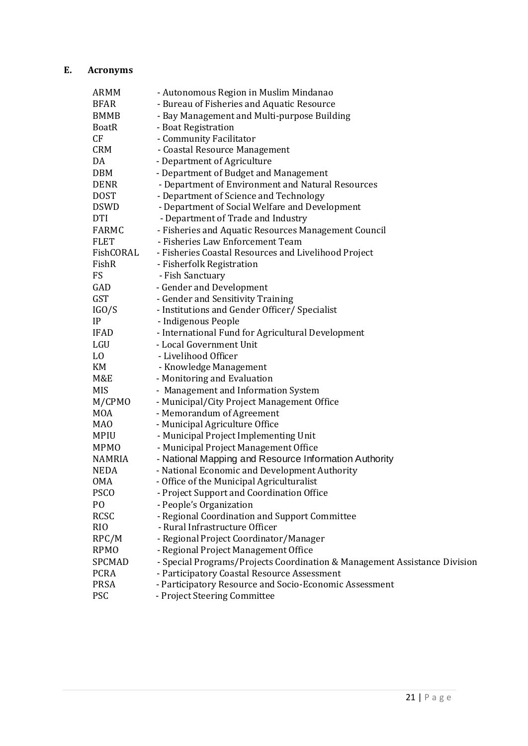# **E. Acronyms**

| ARMM           | - Autonomous Region in Muslim Mindanao                                    |
|----------------|---------------------------------------------------------------------------|
| <b>BFAR</b>    | - Bureau of Fisheries and Aquatic Resource                                |
| BMMB           | - Bay Management and Multi-purpose Building                               |
| BoatR          | - Boat Registration                                                       |
| CF             | - Community Facilitator                                                   |
| CRM            | - Coastal Resource Management                                             |
| DA             | - Department of Agriculture                                               |
| <b>DBM</b>     | - Department of Budget and Management                                     |
| <b>DENR</b>    | - Department of Environment and Natural Resources                         |
| DOST           | - Department of Science and Technology                                    |
| <b>DSWD</b>    | - Department of Social Welfare and Development                            |
| <b>DTI</b>     | - Department of Trade and Industry                                        |
| FARMC          | - Fisheries and Aquatic Resources Management Council                      |
| <b>FLET</b>    | - Fisheries Law Enforcement Team                                          |
| FishCORAL      | - Fisheries Coastal Resources and Livelihood Project                      |
| FishR          | - Fisherfolk Registration                                                 |
| <b>FS</b>      | - Fish Sanctuary                                                          |
| GAD            | - Gender and Development                                                  |
| GST            | - Gender and Sensitivity Training                                         |
| IGO/S          | - Institutions and Gender Officer/ Specialist                             |
| IP             | - Indigenous People                                                       |
| <b>IFAD</b>    | - International Fund for Agricultural Development                         |
| LGU            | - Local Government Unit                                                   |
| LO             | - Livelihood Officer                                                      |
| KM             | - Knowledge Management                                                    |
| M&E            | - Monitoring and Evaluation                                               |
| <b>MIS</b>     | - Management and Information System                                       |
| M/CPMO         | - Municipal/City Project Management Office                                |
| <b>MOA</b>     | - Memorandum of Agreement                                                 |
| MAO            | - Municipal Agriculture Office                                            |
| <b>MPIU</b>    | - Municipal Project Implementing Unit                                     |
| <b>MPMO</b>    | - Municipal Project Management Office                                     |
| NAMRIA         | - National Mapping and Resource Information Authority                     |
| <b>NEDA</b>    | - National Economic and Development Authority                             |
| <b>OMA</b>     | - Office of the Municipal Agriculturalist                                 |
| <b>PSCO</b>    | - Project Support and Coordination Office                                 |
| P <sub>O</sub> | - People's Organization                                                   |
| <b>RCSC</b>    | - Regional Coordination and Support Committee                             |
| RIO            | - Rural Infrastructure Officer                                            |
| RPC/M          | - Regional Project Coordinator/Manager                                    |
| <b>RPMO</b>    | - Regional Project Management Office                                      |
| SPCMAD         | - Special Programs/Projects Coordination & Management Assistance Division |
| <b>PCRA</b>    | - Participatory Coastal Resource Assessment                               |
| <b>PRSA</b>    | - Participatory Resource and Socio-Economic Assessment                    |
| <b>PSC</b>     | - Project Steering Committee                                              |